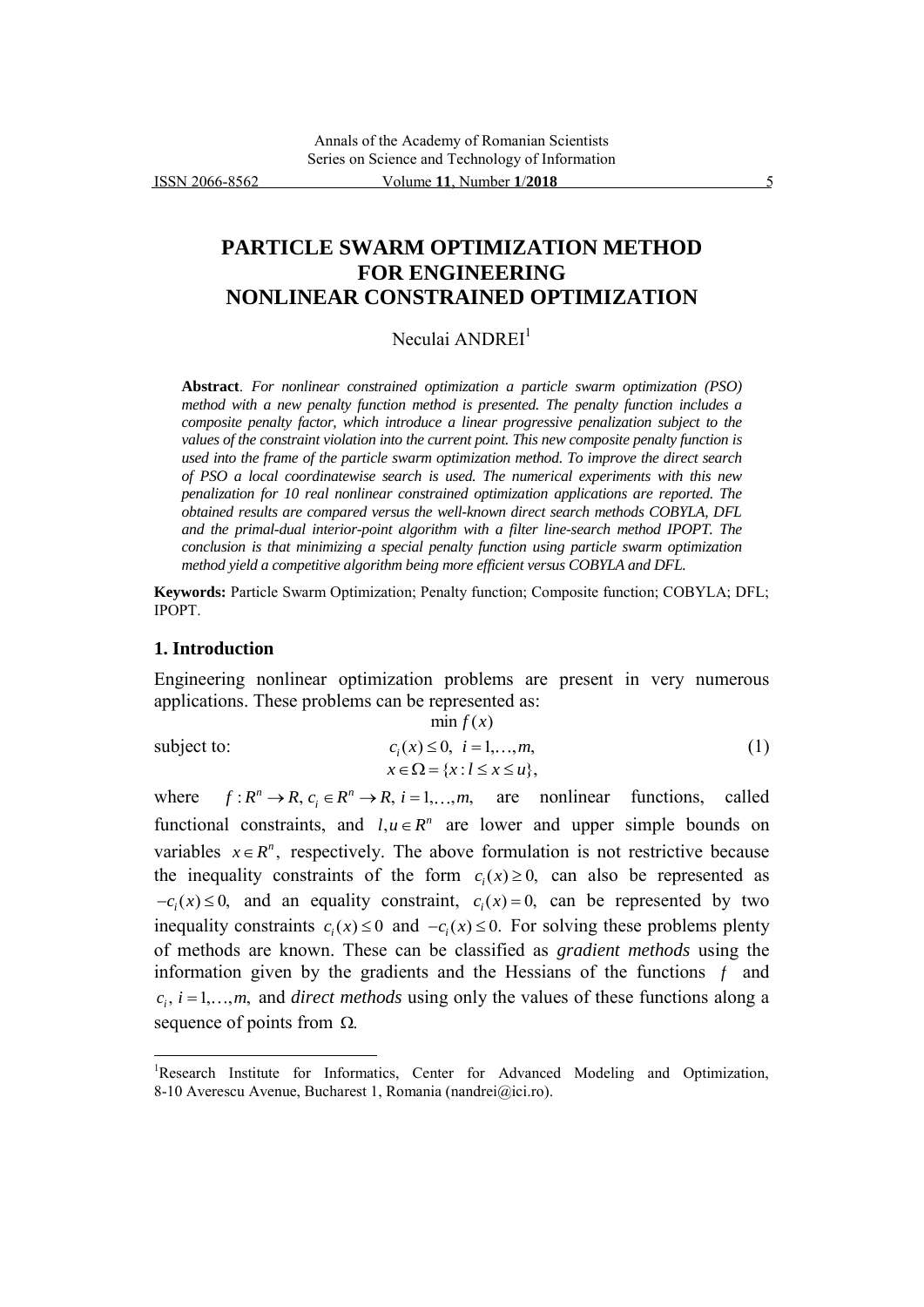# **PARTICLE SWARM OPTIMIZATION METHOD FOR ENGINEERING NONLINEAR CONSTRAINED OPTIMIZATION**

Neculai ANDREI<sup>1</sup>

**Abstract**. *For nonlinear constrained optimization a particle swarm optimization (PSO) method with a new penalty function method is presented. The penalty function includes a composite penalty factor, which introduce a linear progressive penalization subject to the values of the constraint violation into the current point. This new composite penalty function is used into the frame of the particle swarm optimization method. To improve the direct search of PSO a local coordinatewise search is used. The numerical experiments with this new penalization for 10 real nonlinear constrained optimization applications are reported. The obtained results are compared versus the well-known direct search methods COBYLA, DFL and the primal-dual interior-point algorithm with a filter line-search method IPOPT. The conclusion is that minimizing a special penalty function using particle swarm optimization method yield a competitive algorithm being more efficient versus COBYLA and DFL.*

**Keywords:** Particle Swarm Optimization; Penalty function; Composite function; COBYLA; DFL; IPOPT.

#### **1. Introduction**

 $\overline{a}$ 

Engineering nonlinear optimization problems are present in very numerous applications. These problems can be represented as:

$$
\min f(x)
$$
\nsubject to:\n
$$
c_i(x) \le 0, \quad i = 1, \dots, m,
$$
\n
$$
x \in \Omega = \{x : l \le x \le u\},
$$
\n(1)

where  $f: R^n \to R$ ,  $c_i \in R^n \to R$ ,  $i = 1,...,m$ , are nonlinear functions, called functional constraints, and  $l, u \in \mathbb{R}^n$  are lower and upper simple bounds on variables  $x \in R^n$ , respectively. The above formulation is not restrictive because the inequality constraints of the form  $c_i(x) \ge 0$ , can also be represented as  $-c_i(x) \leq 0$ , and an equality constraint,  $c_i(x) = 0$ , can be represented by two inequality constraints  $c_i(x) \le 0$  and  $-c_i(x) \le 0$ . For solving these problems plenty of methods are known. These can be classified as *gradient methods* using the information given by the gradients and the Hessians of the functions  $f$  and  $c_i$ ,  $i = 1, \ldots, m$ , and *direct methods* using only the values of these functions along a sequence of points from  $\Omega$ .

<sup>&</sup>lt;sup>1</sup>Research Institute for Informatics, Center for Advanced Modeling and Optimization, 8-10 Averescu Avenue, Bucharest 1, Romania (nandrei@ici.ro).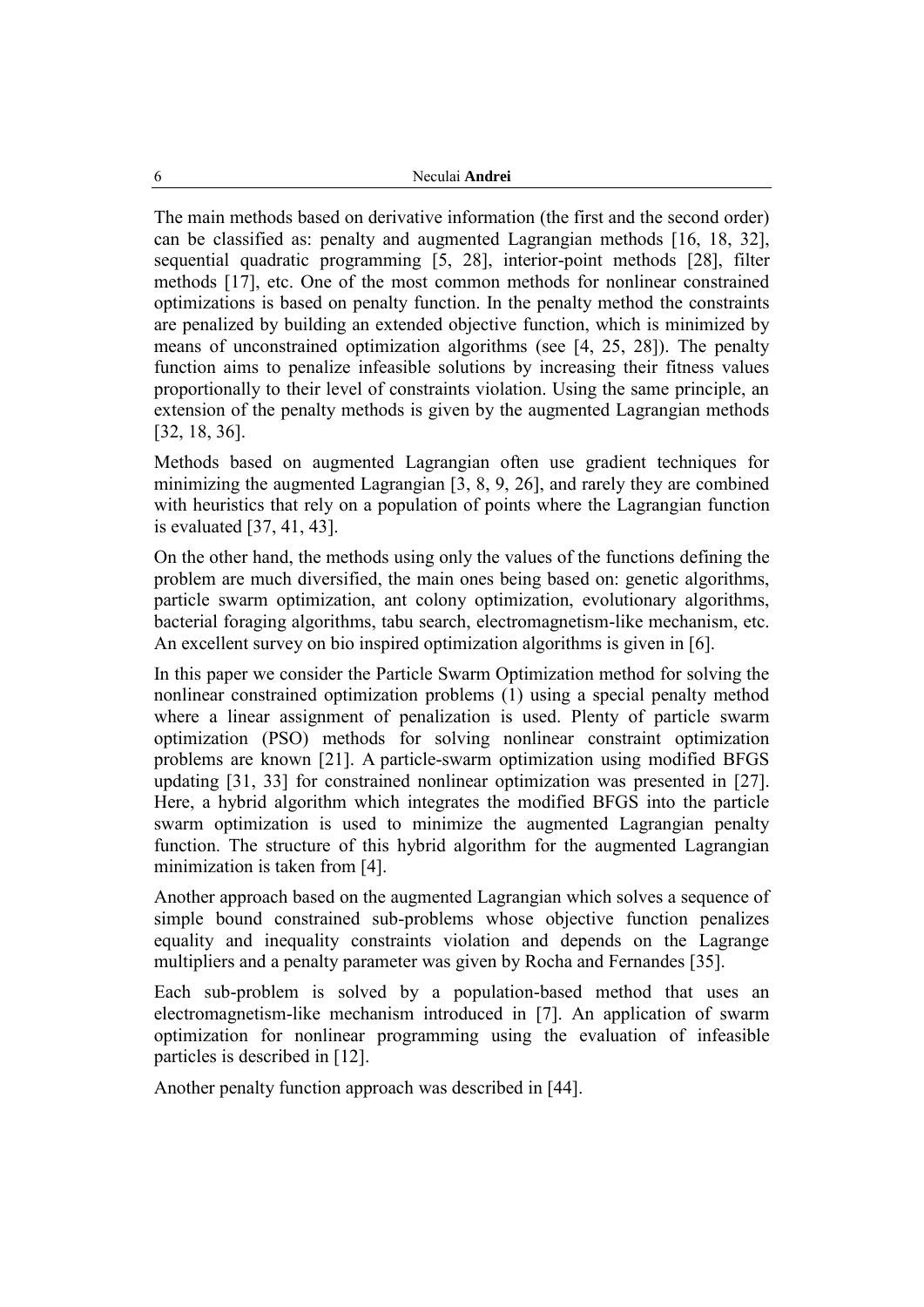The main methods based on derivative information (the first and the second order) can be classified as: penalty and augmented Lagrangian methods [16, 18, 32], sequential quadratic programming [5, 28], interior-point methods [28], filter methods [17], etc. One of the most common methods for nonlinear constrained optimizations is based on penalty function. In the penalty method the constraints are penalized by building an extended objective function, which is minimized by means of unconstrained optimization algorithms (see [4, 25, 28]). The penalty function aims to penalize infeasible solutions by increasing their fitness values proportionally to their level of constraints violation. Using the same principle, an extension of the penalty methods is given by the augmented Lagrangian methods [32, 18, 36].

Methods based on augmented Lagrangian often use gradient techniques for minimizing the augmented Lagrangian [3, 8, 9, 26], and rarely they are combined with heuristics that rely on a population of points where the Lagrangian function is evaluated [37, 41, 43].

On the other hand, the methods using only the values of the functions defining the problem are much diversified, the main ones being based on: genetic algorithms, particle swarm optimization, ant colony optimization, evolutionary algorithms, bacterial foraging algorithms, tabu search, electromagnetism-like mechanism, etc. An excellent survey on bio inspired optimization algorithms is given in [6].

In this paper we consider the Particle Swarm Optimization method for solving the nonlinear constrained optimization problems (1) using a special penalty method where a linear assignment of penalization is used. Plenty of particle swarm optimization (PSO) methods for solving nonlinear constraint optimization problems are known [21]. A particle-swarm optimization using modified BFGS updating [31, 33] for constrained nonlinear optimization was presented in [27]. Here, a hybrid algorithm which integrates the modified BFGS into the particle swarm optimization is used to minimize the augmented Lagrangian penalty function. The structure of this hybrid algorithm for the augmented Lagrangian minimization is taken from [4].

Another approach based on the augmented Lagrangian which solves a sequence of simple bound constrained sub-problems whose objective function penalizes equality and inequality constraints violation and depends on the Lagrange multipliers and a penalty parameter was given by Rocha and Fernandes [35].

Each sub-problem is solved by a population-based method that uses an electromagnetism-like mechanism introduced in [7]. An application of swarm optimization for nonlinear programming using the evaluation of infeasible particles is described in [12].

Another penalty function approach was described in [44].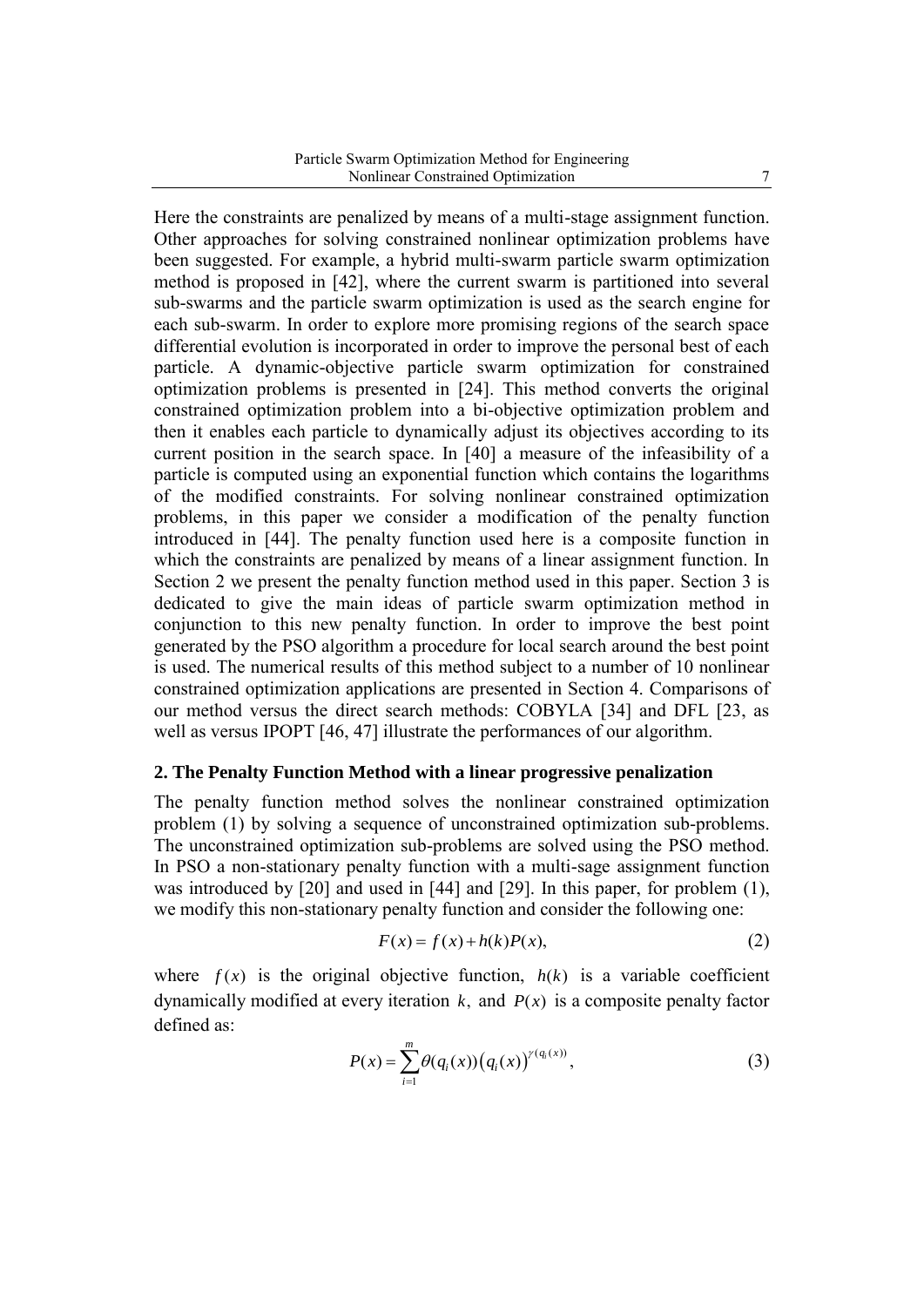Here the constraints are penalized by means of a multi-stage assignment function. Other approaches for solving constrained nonlinear optimization problems have been suggested. For example, a hybrid multi-swarm particle swarm optimization method is proposed in [42], where the current swarm is partitioned into several sub-swarms and the particle swarm optimization is used as the search engine for each sub-swarm. In order to explore more promising regions of the search space differential evolution is incorporated in order to improve the personal best of each particle. A dynamic-objective particle swarm optimization for constrained optimization problems is presented in [24]. This method converts the original constrained optimization problem into a bi-objective optimization problem and then it enables each particle to dynamically adjust its objectives according to its current position in the search space. In [40] a measure of the infeasibility of a particle is computed using an exponential function which contains the logarithms of the modified constraints. For solving nonlinear constrained optimization problems, in this paper we consider a modification of the penalty function introduced in [44]. The penalty function used here is a composite function in which the constraints are penalized by means of a linear assignment function. In Section 2 we present the penalty function method used in this paper. Section 3 is dedicated to give the main ideas of particle swarm optimization method in conjunction to this new penalty function. In order to improve the best point generated by the PSO algorithm a procedure for local search around the best point is used. The numerical results of this method subject to a number of 10 nonlinear constrained optimization applications are presented in Section 4. Comparisons of our method versus the direct search methods: COBYLA [34] and DFL [23, as well as versus IPOPT [46, 47] illustrate the performances of our algorithm.

### **2. The Penalty Function Method with a linear progressive penalization**

The penalty function method solves the nonlinear constrained optimization problem (1) by solving a sequence of unconstrained optimization sub-problems. The unconstrained optimization sub-problems are solved using the PSO method. In PSO a non-stationary penalty function with a multi-sage assignment function was introduced by [20] and used in [44] and [29]. In this paper, for problem (1), we modify this non-stationary penalty function and consider the following one:

$$
F(x) = f(x) + h(k)P(x),
$$
\n(2)

where  $f(x)$  is the original objective function,  $h(k)$  is a variable coefficient dynamically modified at every iteration  $k$ , and  $P(x)$  is a composite penalty factor defined as:

$$
P(x) = \sum_{i=1}^{m} \theta(q_i(x)) (q_i(x))^{\gamma(q_i(x))},
$$
\n(3)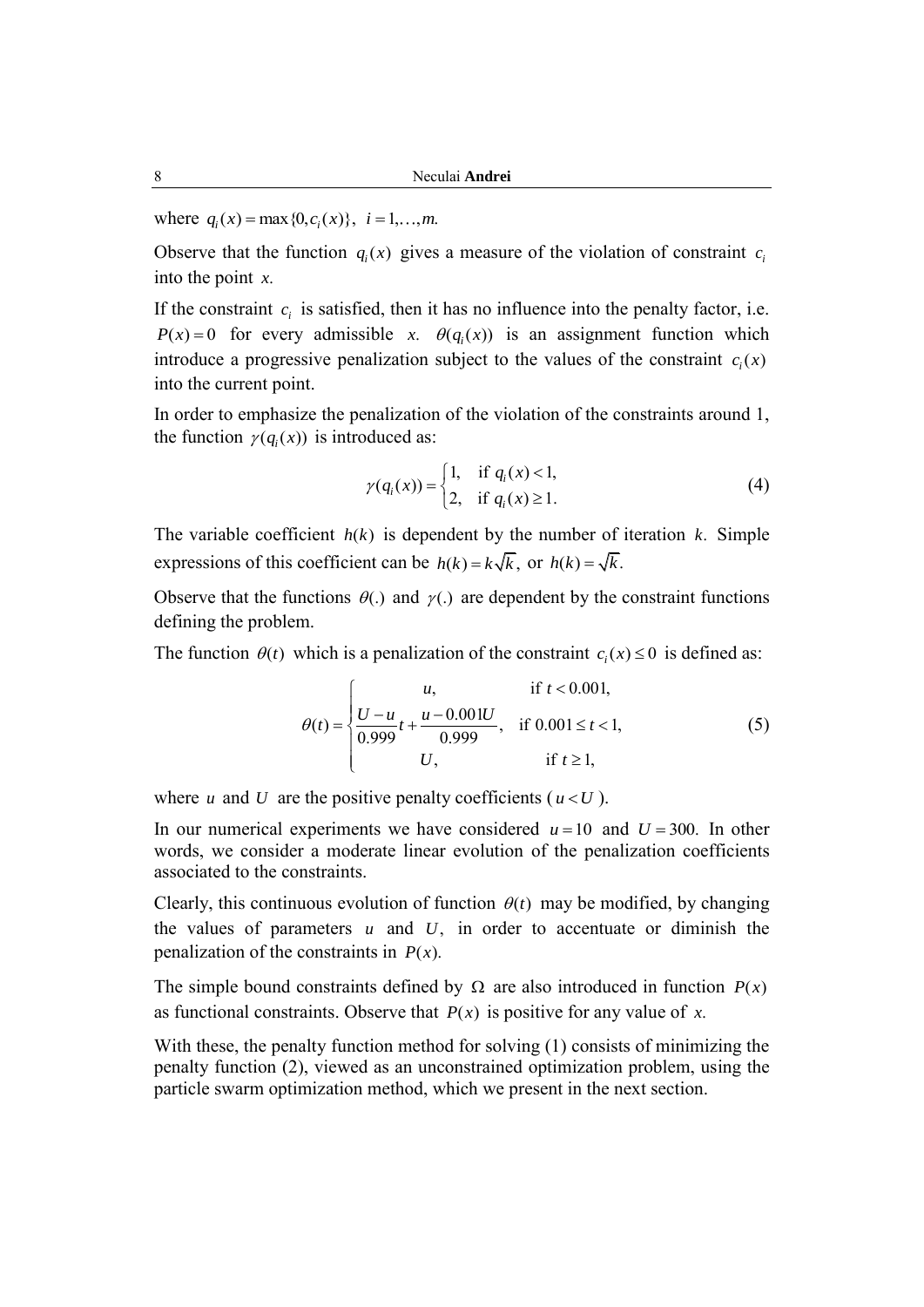where  $q_i(x) = \max\{0, c_i(x)\}, i = 1, ..., m$ .

Observe that the function  $q_i(x)$  gives a measure of the violation of constraint  $c_i$ into the point *x*.

If the constraint  $c_i$  is satisfied, then it has no influence into the penalty factor, i.e.  $P(x) = 0$  for every admissible *x*.  $\theta(q_i(x))$  is an assignment function which introduce a progressive penalization subject to the values of the constraint  $c_i(x)$ into the current point.

In order to emphasize the penalization of the violation of the constraints around 1, the function  $\gamma(q_i(x))$  is introduced as:

$$
\gamma(q_i(x)) = \begin{cases} 1, & \text{if } q_i(x) < 1, \\ 2, & \text{if } q_i(x) \ge 1. \end{cases}
$$
 (4)

The variable coefficient  $h(k)$  is dependent by the number of iteration  $k$ . Simple expressions of this coefficient can be  $h(k) = k\sqrt{k}$ , or  $h(k) = \sqrt{k}$ .

Observe that the functions  $\theta(.)$  and  $\gamma(.)$  are dependent by the constraint functions defining the problem.

The function 
$$
\theta(t)
$$
 which is a penalization of the constraint  $c_i(x) \le 0$  is defined as:  
\n
$$
\theta(t) = \begin{cases}\nu, & \text{if } t < 0.001, \\ \frac{U - u}{0.999}t + \frac{u - 0.001U}{0.999}, & \text{if } 0.001 \le t < 1, \\ U, & \text{if } t \ge 1,\end{cases}
$$
\n(5)

where  $u$  and  $U$  are the positive penalty coefficients ( $u < U$ ).

In our numerical experiments we have considered  $u = 10$  and  $U = 300$ . In other words, we consider a moderate linear evolution of the penalization coefficients associated to the constraints.

Clearly, this continuous evolution of function  $\theta(t)$  may be modified, by changing the values of parameters  $u$  and  $U$ , in order to accentuate or diminish the penalization of the constraints in  $P(x)$ .

The simple bound constraints defined by  $\Omega$  are also introduced in function  $P(x)$ as functional constraints. Observe that  $P(x)$  is positive for any value of x.

With these, the penalty function method for solving (1) consists of minimizing the penalty function (2), viewed as an unconstrained optimization problem, using the particle swarm optimization method, which we present in the next section.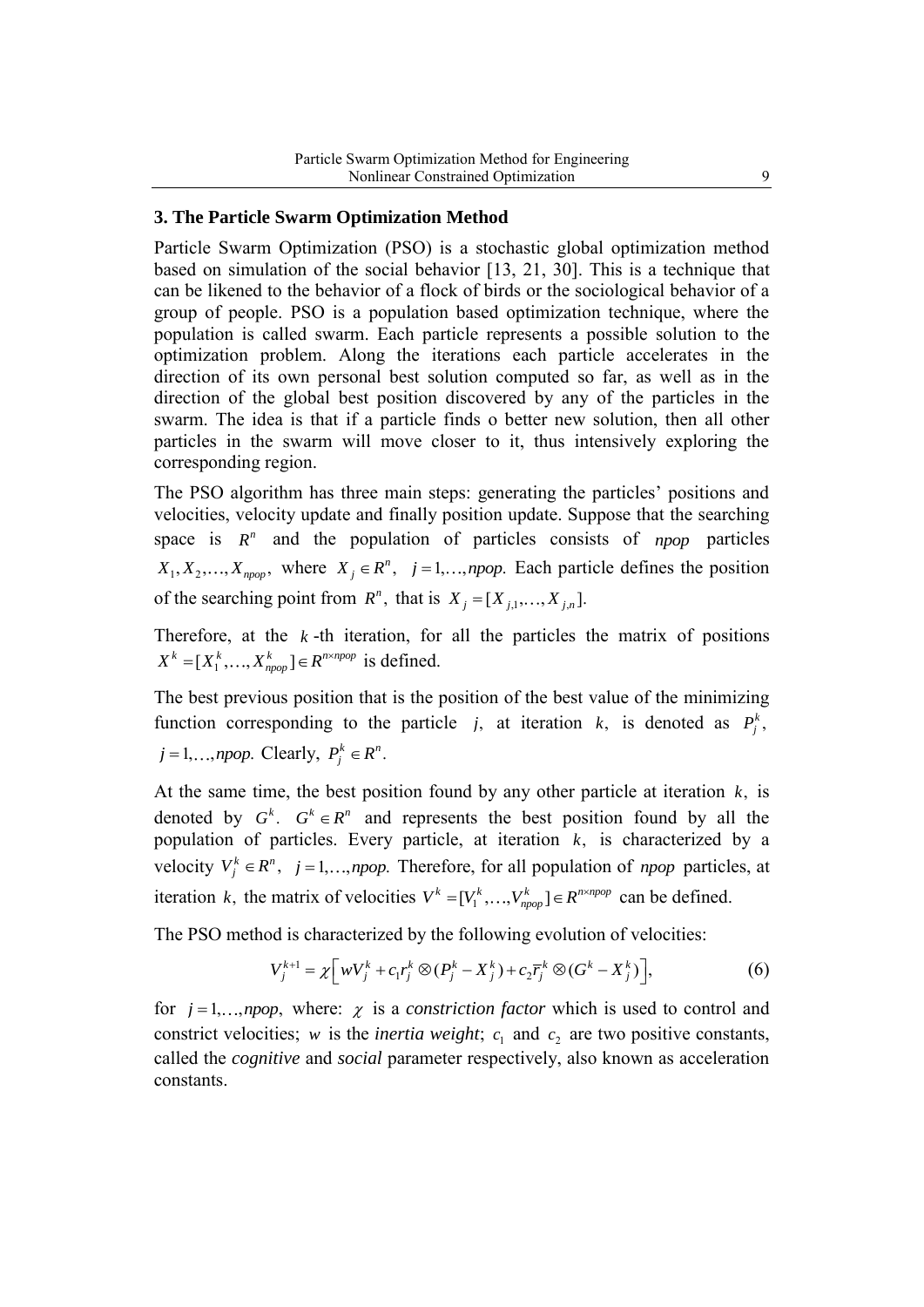### **3. The Particle Swarm Optimization Method**

Particle Swarm Optimization (PSO) is a stochastic global optimization method based on simulation of the social behavior [13, 21, 30]. This is a technique that can be likened to the behavior of a flock of birds or the sociological behavior of a group of people. PSO is a population based optimization technique, where the population is called swarm. Each particle represents a possible solution to the optimization problem. Along the iterations each particle accelerates in the direction of its own personal best solution computed so far, as well as in the direction of the global best position discovered by any of the particles in the swarm. The idea is that if a particle finds o better new solution, then all other particles in the swarm will move closer to it, thus intensively exploring the corresponding region.

The PSO algorithm has three main steps: generating the particles' positions and velocities, velocity update and finally position update. Suppose that the searching space is  $R<sup>n</sup>$  and the population of particles consists of *npop* particles  $X_1, X_2, \ldots, X_{\text{topop}}$ , where  $X_j \in \mathbb{R}^n$ ,  $j = 1, \ldots, \text{topop}$ . Each particle defines the position of the searching point from  $R^n$ , that is  $X_j = [X_{j,1},...,X_{j,n}].$ 

Therefore, at the  $k$ -th iteration, for all the particles the matrix of positions  $X^k = [X_1^k, ..., X_{npop}^k] \in R^{n \times npop}$  is defined.

The best previous position that is the position of the best value of the minimizing function corresponding to the particle *j*, at iteration *k*, is denoted as  $P_j^k$ ,

$$
j = 1, \ldots, npop
$$
. Clearly,  $P_j^k \in R^n$ .

At the same time, the best position found by any other particle at iteration *k*, is denoted by  $G^k$ .  $G^k \in \mathbb{R}^n$  and represents the best position found by all the population of particles. Every particle, at iteration *k*, is characterized by a velocity  $V_j^k \in \mathbb{R}^n$ ,  $j = 1,..., \text{npop}$ . Therefore, for all population of *npop* particles, at iteration k, the matrix of velocities  $V^k = [V_1^k, \dots, V_{npop}^k] \in R^{n \times npop}$  can be defined.

The PSO method is characterized by the following evolution of velocities:  
\n
$$
V_j^{k+1} = \chi \left[ wV_j^k + c_1 r_j^k \otimes (P_j^k - X_j^k) + c_2 \overline{r}_j^k \otimes (G^k - X_j^k) \right],
$$
\n(6)

for  $j = 1, \ldots, npop$ , where:  $\chi$  is a *constriction factor* which is used to control and constrict velocities; *w* is the *inertia weight*;  $c_1$  and  $c_2$  are two positive constants, called the *cognitive* and *social* parameter respectively, also known as acceleration constants.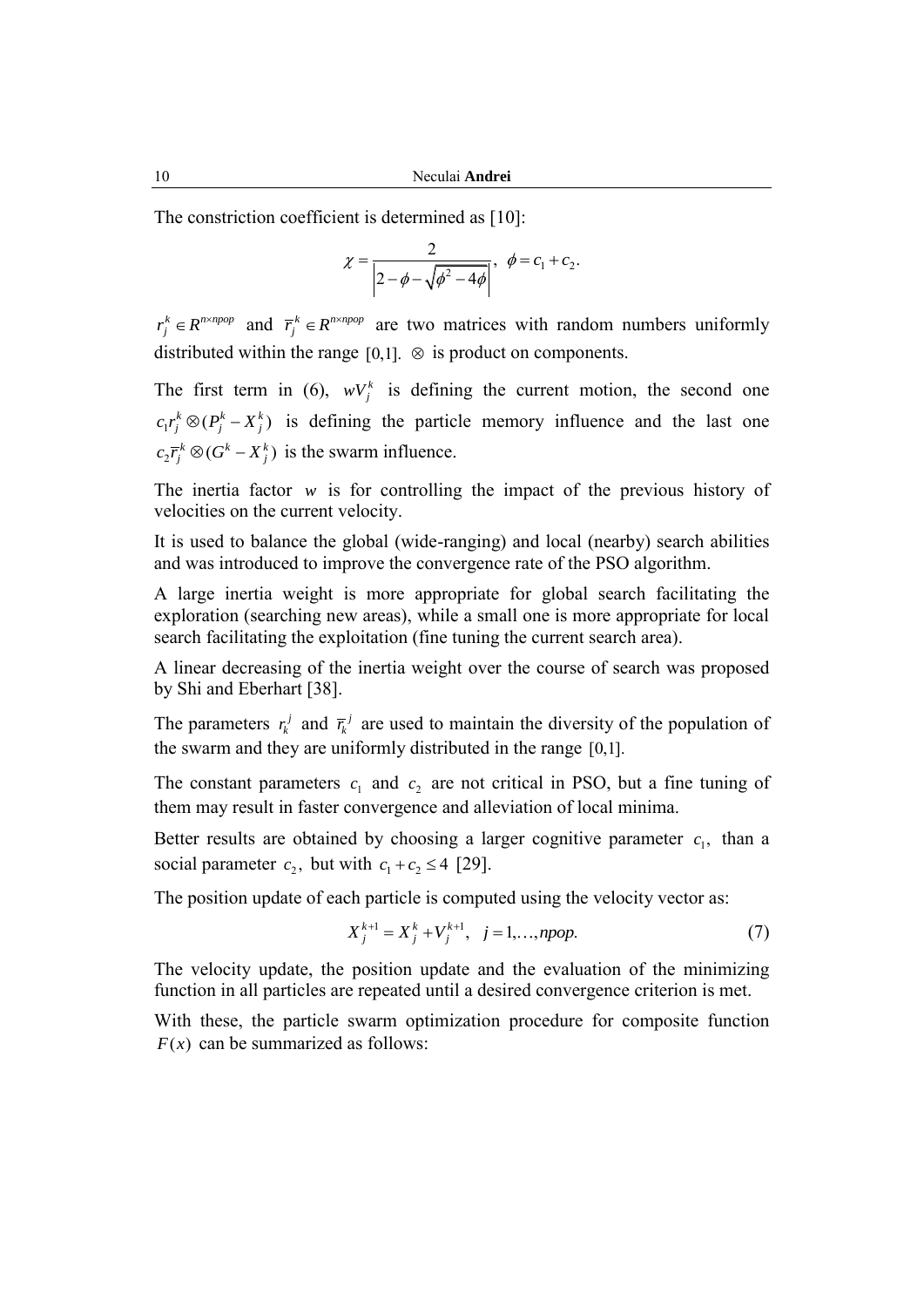10 Neculai **Andrei**

The constriction coefficient is determined as [10]:

$$
\chi = \frac{2}{\left| 2 - \phi - \sqrt{\phi^2 - 4\phi} \right|}, \ \ \phi = c_1 + c_2.
$$

 $r_j^k \in R^{n \times npop}$  and  $\overline{r_j}^k \in R^{n \times npop}$  are two matrices with random numbers uniformly distributed within the range  $[0,1]$ .  $\otimes$  is product on components.

The first term in (6),  $wV_j^k$  is defining the current motion, the second one  $c_1 r_j^k \otimes (P_j^k - X_j^k)$  is defining the particle memory influence and the last one  $c_2 \overline{r}_j^k \otimes (G^k - X_j^k)$  is the swarm influence.

The inertia factor  $w$  is for controlling the impact of the previous history of velocities on the current velocity.

It is used to balance the global (wide-ranging) and local (nearby) search abilities and was introduced to improve the convergence rate of the PSO algorithm.

A large inertia weight is more appropriate for global search facilitating the exploration (searching new areas), while a small one is more appropriate for local search facilitating the exploitation (fine tuning the current search area).

A linear decreasing of the inertia weight over the course of search was proposed by Shi and Eberhart [38].

The parameters  $r_k^j$  and  $\bar{r}_k^j$  are used to maintain the diversity of the population of the swarm and they are uniformly distributed in the range [0,1].

The constant parameters  $c_1$  and  $c_2$  are not critical in PSO, but a fine tuning of them may result in faster convergence and alleviation of local minima.

Better results are obtained by choosing a larger cognitive parameter  $c_1$ , than a social parameter  $c_2$ , but with  $c_1 + c_2 \le 4$  [29].

The position update of each particle is computed using the velocity vector as:

$$
X_j^{k+1} = X_j^k + V_j^{k+1}, \quad j = 1, \dots, npop. \tag{7}
$$

The velocity update, the position update and the evaluation of the minimizing function in all particles are repeated until a desired convergence criterion is met.

With these, the particle swarm optimization procedure for composite function  $F(x)$  can be summarized as follows: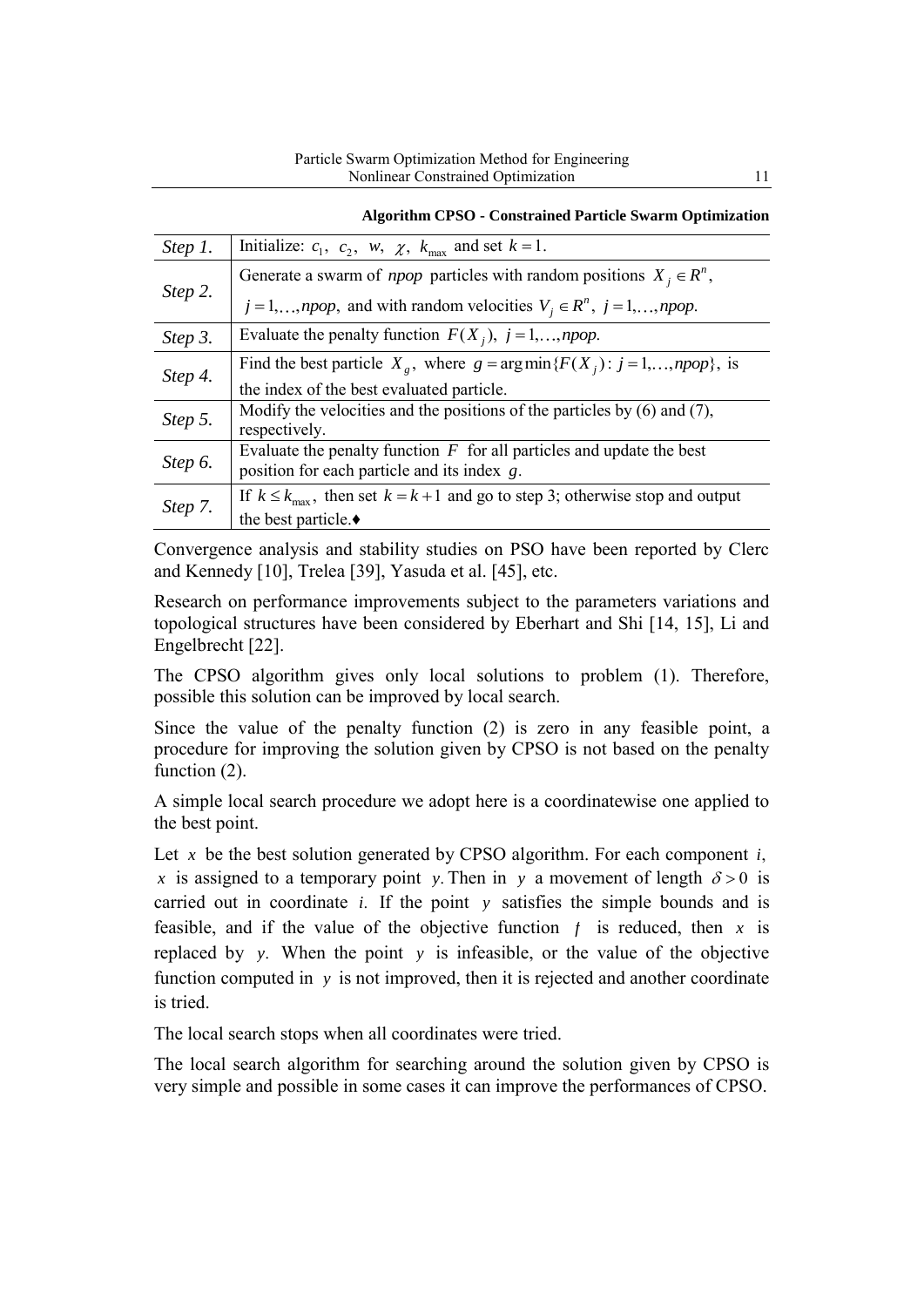|         | <b>Algorithm CPSO - Constrained Particle Swarm Optimization</b>                                |
|---------|------------------------------------------------------------------------------------------------|
| Step 1. | Initialize: $c_1$ , $c_2$ , $w$ , $\chi$ , $k_{\text{max}}$ and set $k = 1$ .                  |
| Step 2. | Generate a swarm of <i>npop</i> particles with random positions $X_i \in \mathbb{R}^n$ ,       |
|         | $j = 1,, npop$ , and with random velocities $V_j \in R^n$ , $j = 1,, npop$ .                   |
| Step 3. | Evaluate the penalty function $F(X_i)$ , $i = 1,,npop$ .                                       |
| Step 4. | Find the best particle $X_g$ , where $g = \arg \min \{ F(X_i) : j = 1,, npop \}$ , is          |
|         | the index of the best evaluated particle.                                                      |
| Step 5. | Modify the velocities and the positions of the particles by $(6)$ and $(7)$ ,<br>respectively. |
| Step 6. | Evaluate the penalty function $F$ for all particles and update the best                        |
|         | position for each particle and its index g.                                                    |
| Step 7. | If $k \leq k_{\text{max}}$ , then set $k = k + 1$ and go to step 3; otherwise stop and output  |
|         | the best particle. $\bullet$                                                                   |

Convergence analysis and stability studies on PSO have been reported by Clerc and Kennedy [10], Trelea [39], Yasuda et al. [45], etc.

Research on performance improvements subject to the parameters variations and topological structures have been considered by Eberhart and Shi [14, 15], Li and Engelbrecht [22].

The CPSO algorithm gives only local solutions to problem (1). Therefore, possible this solution can be improved by local search.

Since the value of the penalty function (2) is zero in any feasible point, a procedure for improving the solution given by CPSO is not based on the penalty function  $(2)$ .

A simple local search procedure we adopt here is a coordinatewise one applied to the best point.

Let x be the best solution generated by CPSO algorithm. For each component *i*, x is assigned to a temporary point y. Then in y a movement of length  $\delta > 0$  is carried out in coordinate *i*. If the point *y* satisfies the simple bounds and is feasible, and if the value of the objective function  $f$  is reduced, then  $x$  is replaced by *y*. When the point *y* is infeasible, or the value of the objective function computed in y is not improved, then it is rejected and another coordinate is tried.

The local search stops when all coordinates were tried.

The local search algorithm for searching around the solution given by CPSO is very simple and possible in some cases it can improve the performances of CPSO.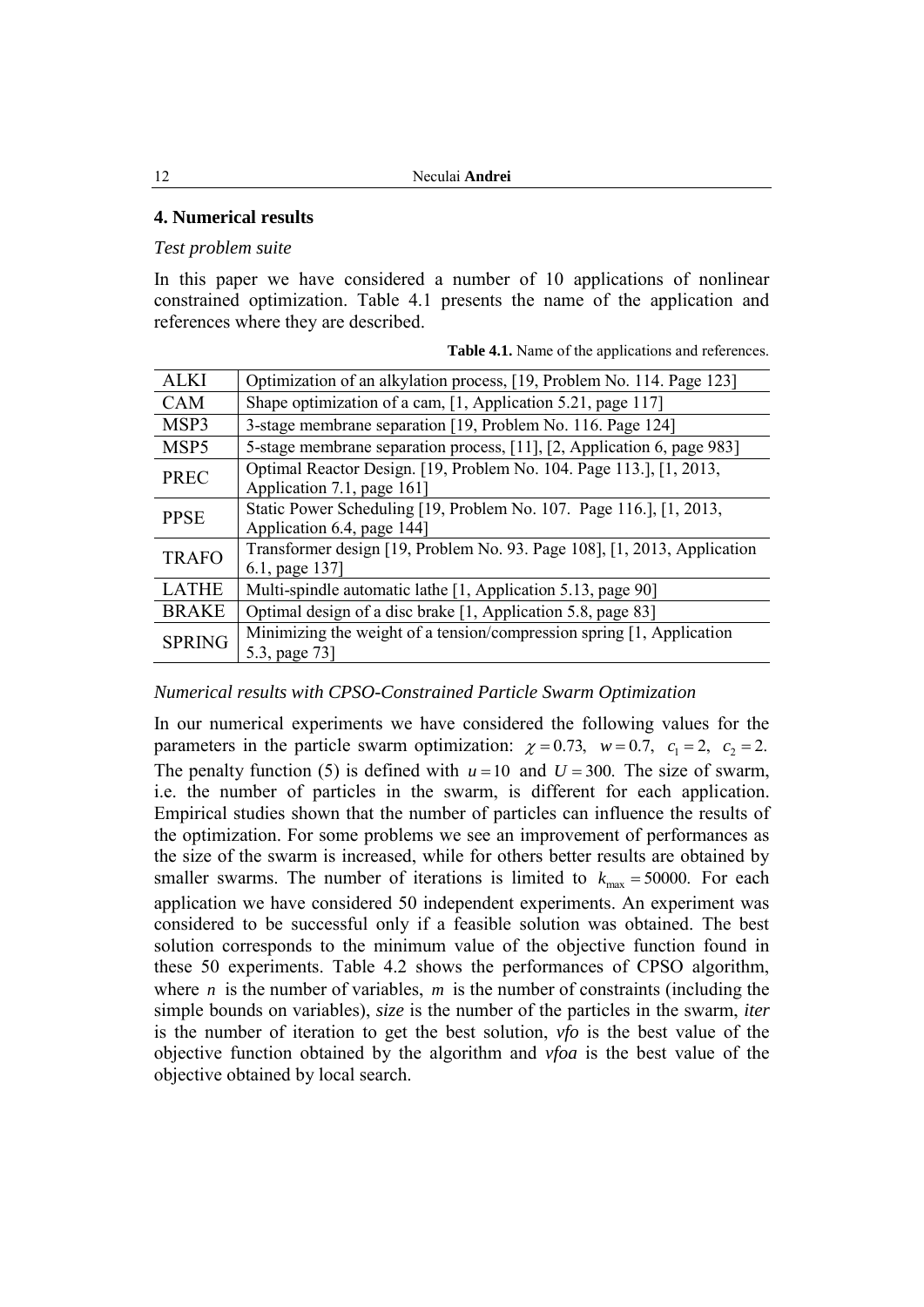# **4. Numerical results**

### *Test problem suite*

In this paper we have considered a number of 10 applications of nonlinear constrained optimization. Table 4.1 presents the name of the application and references where they are described.

|  | <b>Table 4.1.</b> Name of the applications and references. |  |
|--|------------------------------------------------------------|--|
|  |                                                            |  |

| <b>ALKI</b>   | Optimization of an alkylation process, [19, Problem No. 114. Page 123]                            |  |  |  |
|---------------|---------------------------------------------------------------------------------------------------|--|--|--|
| <b>CAM</b>    | Shape optimization of a cam, [1, Application 5.21, page 117]                                      |  |  |  |
| MSP3          | 3-stage membrane separation [19, Problem No. 116. Page 124]                                       |  |  |  |
| MSP5          | 5-stage membrane separation process, [11], [2, Application 6, page 983]                           |  |  |  |
| <b>PREC</b>   | Optimal Reactor Design. [19, Problem No. 104. Page 113.], [1, 2013,<br>Application 7.1, page 161] |  |  |  |
| <b>PPSE</b>   | Static Power Scheduling [19, Problem No. 107. Page 116.], [1, 2013,<br>Application 6.4, page 144] |  |  |  |
| <b>TRAFO</b>  | Transformer design [19, Problem No. 93. Page 108], [1, 2013, Application<br>6.1, page 137]        |  |  |  |
| <b>LATHE</b>  | Multi-spindle automatic lathe [1, Application 5.13, page 90]                                      |  |  |  |
| <b>BRAKE</b>  | Optimal design of a disc brake [1, Application 5.8, page 83]                                      |  |  |  |
| <b>SPRING</b> | Minimizing the weight of a tension/compression spring [1, Application<br>5.3, page 73             |  |  |  |

## *Numerical results with CPSO-Constrained Particle Swarm Optimization*

In our numerical experiments we have considered the following values for the parameters in the particle swarm optimization:  $\chi = 0.73$ ,  $w = 0.7$ ,  $c_1 = 2$ ,  $c_2 = 2$ . The penalty function (5) is defined with  $u = 10$  and  $U = 300$ . The size of swarm, i.e. the number of particles in the swarm, is different for each application. Empirical studies shown that the number of particles can influence the results of the optimization. For some problems we see an improvement of performances as the size of the swarm is increased, while for others better results are obtained by smaller swarms. The number of iterations is limited to  $k_{\text{max}} = 50000$ . For each application we have considered 50 independent experiments. An experiment was considered to be successful only if a feasible solution was obtained. The best solution corresponds to the minimum value of the objective function found in these 50 experiments. Table 4.2 shows the performances of CPSO algorithm, where  $n$  is the number of variables,  $m$  is the number of constraints (including the simple bounds on variables), *size* is the number of the particles in the swarm, *iter* is the number of iteration to get the best solution, *vfo* is the best value of the objective function obtained by the algorithm and *vfoa* is the best value of the objective obtained by local search.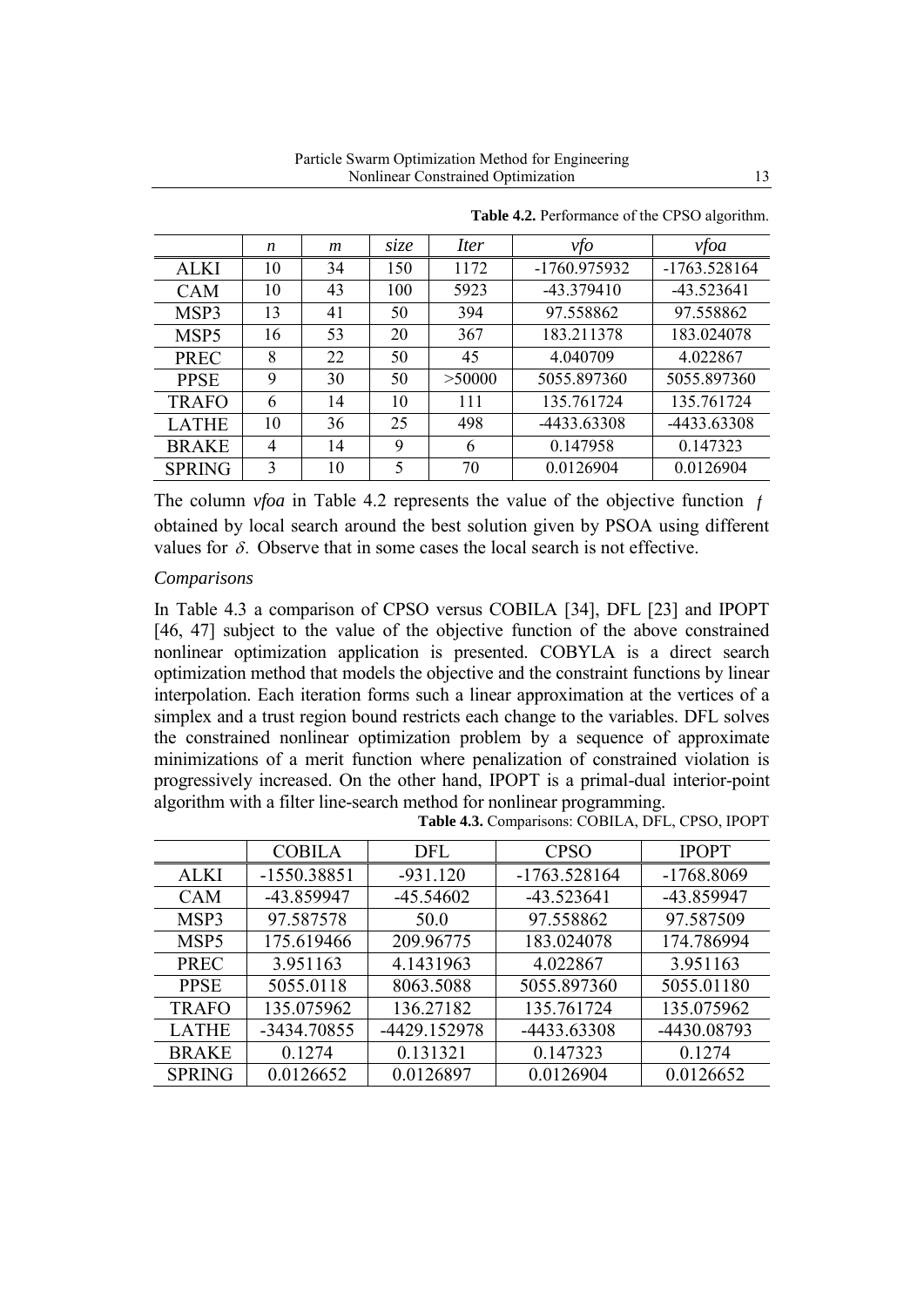|                  | n  | m  | size | <i>Iter</i> | vfo          | vfoa           |
|------------------|----|----|------|-------------|--------------|----------------|
| <b>ALKI</b>      | 10 | 34 | 150  | 1172        | -1760.975932 | $-1763.528164$ |
| <b>CAM</b>       | 10 | 43 | 100  | 5923        | $-43.379410$ | $-43.523641$   |
| MSP3             | 13 | 41 | 50   | 394         | 97.558862    | 97.558862      |
| MSP <sub>5</sub> | 16 | 53 | 20   | 367         | 183.211378   | 183.024078     |
| <b>PREC</b>      | 8  | 22 | 50   | 45          | 4.040709     | 4.022867       |
| <b>PPSE</b>      | 9  | 30 | 50   | >50000      | 5055.897360  | 5055.897360    |
| <b>TRAFO</b>     | 6  | 14 | 10   | 111         | 135.761724   | 135.761724     |
| <b>LATHE</b>     | 10 | 36 | 25   | 498         | -4433.63308  | -4433.63308    |
| <b>BRAKE</b>     | 4  | 14 | 9    | 6           | 0.147958     | 0.147323       |
| <b>SPRING</b>    | 3  | 10 | 5    | 70          | 0.0126904    | 0.0126904      |

**Table 4.2.** Performance of the CPSO algorithm.

The column *vfoa* in Table 4.2 represents the value of the objective function *f* obtained by local search around the best solution given by PSOA using different values for  $\delta$ . Observe that in some cases the local search is not effective.

#### *Comparisons*

In Table 4.3 a comparison of CPSO versus COBILA [34], DFL [23] and IPOPT [46, 47] subject to the value of the objective function of the above constrained nonlinear optimization application is presented. COBYLA is a direct search optimization method that models the objective and the constraint functions by linear interpolation. Each iteration forms such a linear approximation at the vertices of a simplex and a trust region bound restricts each change to the variables. DFL solves the constrained nonlinear optimization problem by a sequence of approximate minimizations of a merit function where penalization of constrained violation is progressively increased. On the other hand, IPOPT is a primal-dual interior-point algorithm with a filter line-search method for nonlinear programming.

|                  | <b>COBILA</b> | <b>DFL</b>   | <b>CPSO</b>    | <b>IPOPT</b> |
|------------------|---------------|--------------|----------------|--------------|
| ALKI             | $-1550.38851$ | $-931.120$   | $-1763.528164$ | $-1768.8069$ |
| <b>CAM</b>       | -43.859947    | $-45.54602$  | $-43.523641$   | -43.859947   |
| MSP3             | 97.587578     | 50.0         | 97.558862      | 97.587509    |
| MSP <sub>5</sub> | 175.619466    | 209.96775    | 183.024078     | 174.786994   |
| <b>PREC</b>      | 3.951163      | 4.1431963    | 4.022867       | 3.951163     |
| <b>PPSE</b>      | 5055.0118     | 8063.5088    | 5055.897360    | 5055.01180   |
| <b>TRAFO</b>     | 135.075962    | 136.27182    | 135.761724     | 135.075962   |
| <b>LATHE</b>     | -3434.70855   | -4429.152978 | -4433.63308    | -4430.08793  |
| <b>BRAKE</b>     | 0.1274        | 0.131321     | 0.147323       | 0.1274       |
| <b>SPRING</b>    | 0.0126652     | 0.0126897    | 0.0126904      | 0.0126652    |

**Table 4.3.** Comparisons: COBILA, DFL, CPSO, IPOPT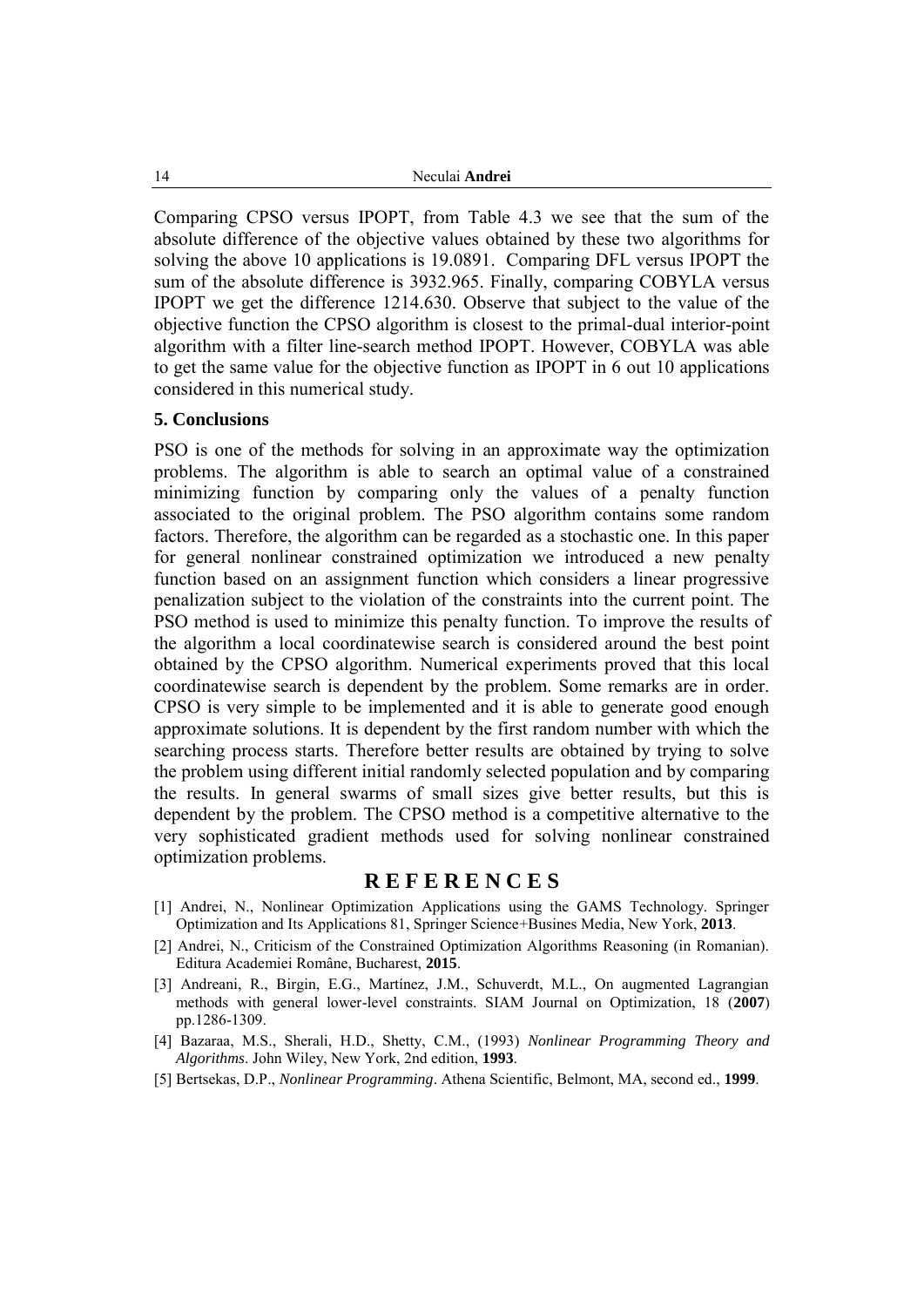14 Neculai **Andrei**

Comparing CPSO versus IPOPT, from Table 4.3 we see that the sum of the absolute difference of the objective values obtained by these two algorithms for solving the above 10 applications is 19.0891. Comparing DFL versus IPOPT the sum of the absolute difference is 3932.965. Finally, comparing COBYLA versus IPOPT we get the difference 1214.630. Observe that subject to the value of the objective function the CPSO algorithm is closest to the primal-dual interior-point algorithm with a filter line-search method IPOPT. However, COBYLA was able to get the same value for the objective function as IPOPT in 6 out 10 applications considered in this numerical study.

#### **5. Conclusions**

PSO is one of the methods for solving in an approximate way the optimization problems. The algorithm is able to search an optimal value of a constrained minimizing function by comparing only the values of a penalty function associated to the original problem. The PSO algorithm contains some random factors. Therefore, the algorithm can be regarded as a stochastic one. In this paper for general nonlinear constrained optimization we introduced a new penalty function based on an assignment function which considers a linear progressive penalization subject to the violation of the constraints into the current point. The PSO method is used to minimize this penalty function. To improve the results of the algorithm a local coordinatewise search is considered around the best point obtained by the CPSO algorithm. Numerical experiments proved that this local coordinatewise search is dependent by the problem. Some remarks are in order. CPSO is very simple to be implemented and it is able to generate good enough approximate solutions. It is dependent by the first random number with which the searching process starts. Therefore better results are obtained by trying to solve the problem using different initial randomly selected population and by comparing the results. In general swarms of small sizes give better results, but this is dependent by the problem. The CPSO method is a competitive alternative to the very sophisticated gradient methods used for solving nonlinear constrained optimization problems.

#### **R E F E R E N C E S**

- [1] Andrei, N., Nonlinear Optimization Applications using the GAMS Technology. Springer Optimization and Its Applications 81, Springer Science+Busines Media, New York, **2013**.
- [2] Andrei, N., Criticism of the Constrained Optimization Algorithms Reasoning (in Romanian). Editura Academiei Române, Bucharest, **2015**.
- [3] Andreani, R., Birgin, E.G., Martínez, J.M., Schuverdt, M.L., On augmented Lagrangian methods with general lower-level constraints. SIAM Journal on Optimization, 18 (**2007**) pp.1286-1309.
- [4] Bazaraa, M.S., Sherali, H.D., Shetty, C.M., (1993) *Nonlinear Programming Theory and Algorithms*. John Wiley, New York, 2nd edition, **1993**.
- [5] Bertsekas, D.P., *Nonlinear Programming*. Athena Scientific, Belmont, MA, second ed., **1999**.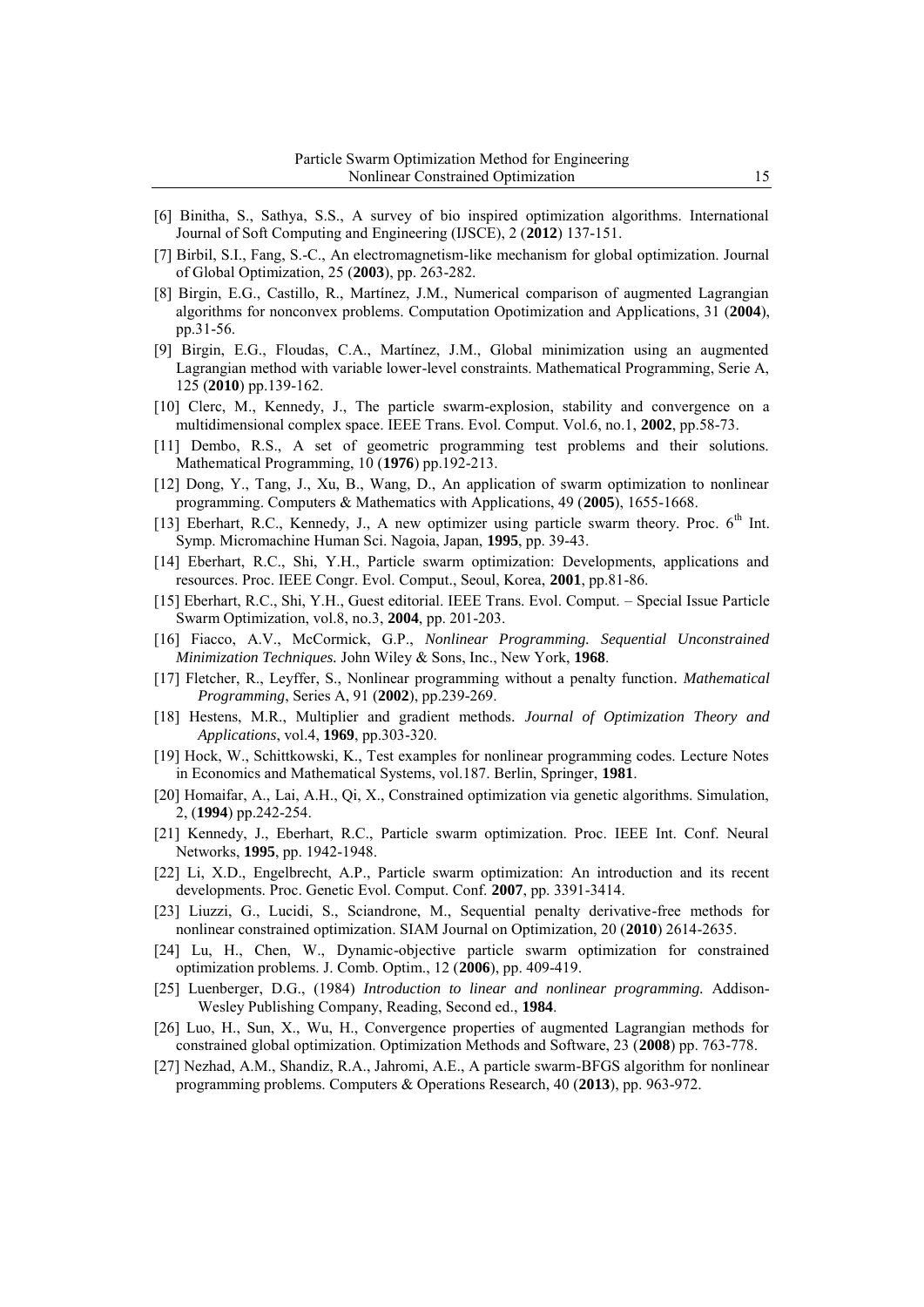- [6] Binitha, S., Sathya, S.S., A survey of bio inspired optimization algorithms. International Journal of Soft Computing and Engineering (IJSCE), 2 (**2012**) 137-151.
- [7] Birbil, S.I., Fang, S.-C., An electromagnetism-like mechanism for global optimization. Journal of Global Optimization, 25 (**2003**), pp. 263-282.
- [8] Birgin, E.G., Castillo, R., Martínez, J.M., Numerical comparison of augmented Lagrangian algorithms for nonconvex problems. Computation Opotimization and Applications, 31 (**2004**), pp.31-56.
- [9] Birgin, E.G., Floudas, C.A., Martínez, J.M., Global minimization using an augmented Lagrangian method with variable lower-level constraints. Mathematical Programming, Serie A, 125 (**2010**) pp.139-162.
- [10] Clerc, M., Kennedy, J., The particle swarm-explosion, stability and convergence on a multidimensional complex space. IEEE Trans. Evol. Comput. Vol.6, no.1, **2002**, pp.58-73.
- [11] Dembo, R.S., A set of geometric programming test problems and their solutions. Mathematical Programming, 10 (**1976**) pp.192-213.
- [12] Dong, Y., Tang, J., Xu, B., Wang, D., An application of swarm optimization to nonlinear programming. Computers & Mathematics with Applications, 49 (**2005**), 1655-1668.
- [13] Eberhart, R.C., Kennedy, J., A new optimizer using particle swarm theory. Proc.  $6<sup>th</sup>$  Int. Symp. Micromachine Human Sci. Nagoia, Japan, **1995**, pp. 39-43.
- [14] Eberhart, R.C., Shi, Y.H., Particle swarm optimization: Developments, applications and resources. Proc. IEEE Congr. Evol. Comput., Seoul, Korea, **2001**, pp.81-86.
- [15] Eberhart, R.C., Shi, Y.H., Guest editorial. IEEE Trans. Evol. Comput. Special Issue Particle Swarm Optimization, vol.8, no.3, **2004**, pp. 201-203.
- [16] Fiacco, A.V., McCormick, G.P., *Nonlinear Programming. Sequential Unconstrained Minimization Techniques.* John Wiley & Sons, Inc., New York, **1968**.
- [17] Fletcher, R., Leyffer, S., Nonlinear programming without a penalty function*. Mathematical Programming*, Series A, 91 (**2002**), pp.239-269.
- [18] Hestens, M.R., Multiplier and gradient methods*. Journal of Optimization Theory and Applications*, vol.4, **1969**, pp.303-320.
- [19] Hock, W., Schittkowski, K., Test examples for nonlinear programming codes. Lecture Notes in Economics and Mathematical Systems, vol.187. Berlin, Springer, **1981**.
- [20] Homaifar, A., Lai, A.H., Qi, X., Constrained optimization via genetic algorithms. Simulation, 2, (**1994**) pp.242-254.
- [21] Kennedy, J., Eberhart, R.C., Particle swarm optimization. Proc. IEEE Int. Conf. Neural Networks, **1995**, pp. 1942-1948.
- [22] Li, X.D., Engelbrecht, A.P., Particle swarm optimization: An introduction and its recent developments. Proc. Genetic Evol. Comput. Conf. **2007**, pp. 3391-3414.
- [23] Liuzzi, G., Lucidi, S., Sciandrone, M., Sequential penalty derivative-free methods for nonlinear constrained optimization. SIAM Journal on Optimization, 20 (**2010**) 2614-2635.
- [24] Lu, H., Chen, W., Dynamic-objective particle swarm optimization for constrained optimization problems. J. Comb. Optim., 12 (**2006**), pp. 409-419.
- [25] Luenberger, D.G., (1984) *Introduction to linear and nonlinear programming.* Addison-Wesley Publishing Company, Reading, Second ed., **1984**.
- [26] Luo, H., Sun, X., Wu, H., Convergence properties of augmented Lagrangian methods for constrained global optimization. Optimization Methods and Software, 23 (**2008**) pp. 763-778.
- [27] Nezhad, A.M., Shandiz, R.A., Jahromi, A.E., A particle swarm-BFGS algorithm for nonlinear programming problems. Computers & Operations Research, 40 (**2013**), pp. 963-972.